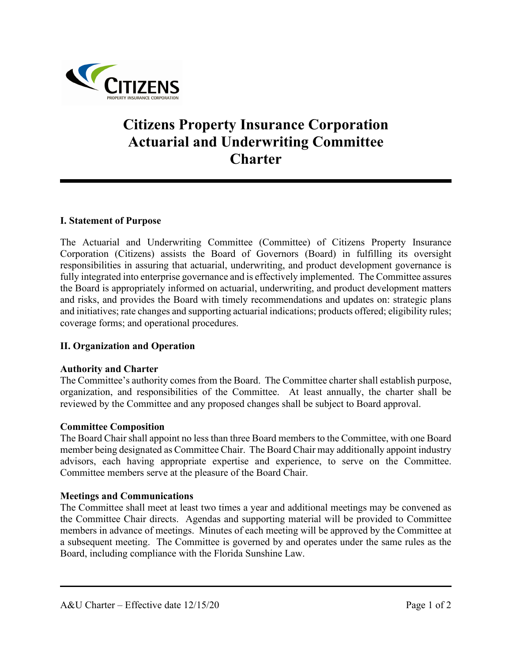

# **Citizens Property Insurance Corporation Actuarial and Underwriting Committee Charter**

## **I. Statement of Purpose**

The Actuarial and Underwriting Committee (Committee) of Citizens Property Insurance Corporation (Citizens) assists the Board of Governors (Board) in fulfilling its oversight responsibilities in assuring that actuarial, underwriting, and product development governance is fully integrated into enterprise governance and is effectively implemented. The Committee assures the Board is appropriately informed on actuarial, underwriting, and product development matters and risks, and provides the Board with timely recommendations and updates on: strategic plans and initiatives; rate changes and supporting actuarial indications; products offered; eligibility rules; coverage forms; and operational procedures.

## **II. Organization and Operation**

#### **Authority and Charter**

The Committee's authority comes from the Board. The Committee charter shall establish purpose, organization, and responsibilities of the Committee. At least annually, the charter shall be reviewed by the Committee and any proposed changes shall be subject to Board approval.

#### **Committee Composition**

The Board Chair shall appoint no less than three Board members to the Committee, with one Board member being designated as Committee Chair. The Board Chair may additionally appoint industry advisors, each having appropriate expertise and experience, to serve on the Committee. Committee members serve at the pleasure of the Board Chair.

#### **Meetings and Communications**

The Committee shall meet at least two times a year and additional meetings may be convened as the Committee Chair directs. Agendas and supporting material will be provided to Committee members in advance of meetings. Minutes of each meeting will be approved by the Committee at a subsequent meeting. The Committee is governed by and operates under the same rules as the Board, including compliance with the Florida Sunshine Law.